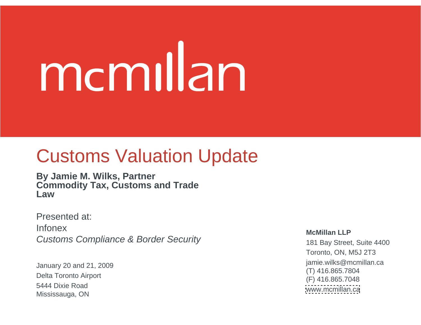# mcmillan

#### Customs Valuation Update

**By Jamie M. Wilks, Partner Commodity Tax, Customs and Trade Law**

Presented at: Infonex Customs Compliance & Border Security

January 20 and 21, 2009<br>
The Miks Christ of the Miks Christ of the Miks Christ of the Miks Christ of the Miks Christ of the Miks Christ of the Miks Christ of the Miks Christ of the Miks Christ of the Miks Christ of the Mik Delta Toronto Airport<br>
(F) 416.865.7048 Mississauga, ON

#### **McMillan LLP**

181 Bay Street, Suite 4400 Toronto, ON, M5J 2T3 jamie.wilks@mcmillan.ca (T) 416.865.7804 (F) 416.865.7048 [www.mcmillan.ca](http://www.mcmillan.ca) 5444 Dixie Road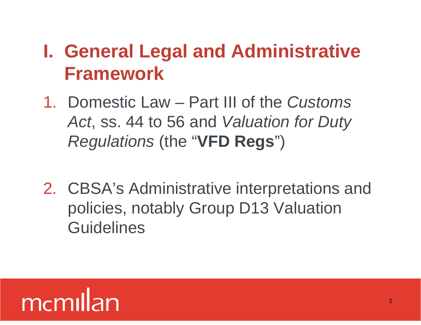#### **I. General Legal and Administrative Framework**

- 1. Domestic Law Part III of the Customs Act, ss. 44 to 56 and Valuation for Duty Regulations (the "**VFD Regs**")
- 2. CBSA's Administrative interpretations and policies, notably Group D13 Valuation **Guidelines**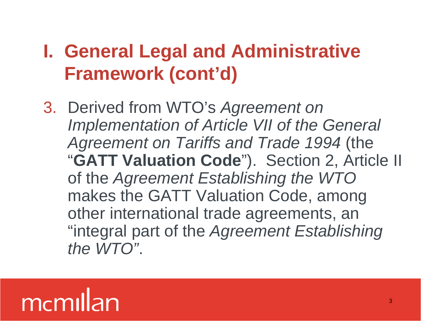#### **I. General Legal and Administrative Framework (cont'd)**

3. Derived from WTO's Agreement on Implementation of Article VII of the General Agreement on Tariffs and Trade 1994 (the "**GATT Valuation Code**"). Section 2, Article II of the Agreement Establishing the WTO makes the GATT Valuation Code, among other international trade agreements, an "integral part of the Agreement Establishing the WTO".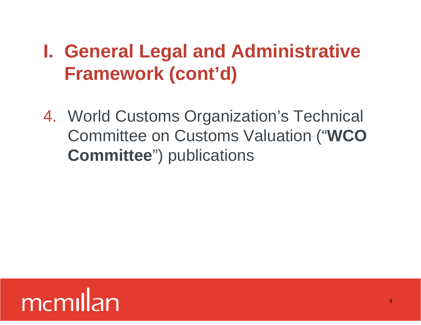#### **I. General Legal and Administrative Framework (cont'd)**

4. World Customs Organization's Technical Committee on Customs Valuation ("**WCO Committee**") publications

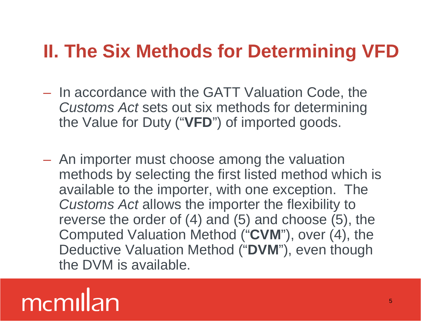- In accordance with the GATT Valuation Code, the Customs Act sets out six methods for determining the Value for Duty ("**VFD**") of imported goods.
- An importer must choose among the valuation methods by selecting the first listed method which is available to the importer, with one exception. The Customs Act allows the importer the flexibility to reverse the order of (4) and (5) and choose (5), the Computed Valuation Method ("**CVM**"), over (4), the Deductive Valuation Method ("**DVM**"), even though the DVM is available.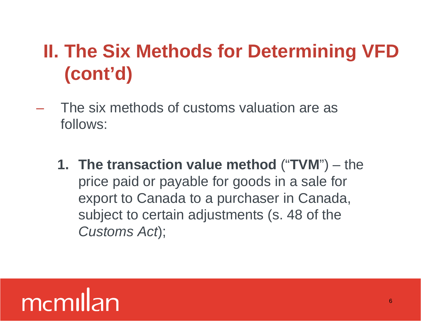- The six methods of customs valuation are as follows:
	- **1. The transaction value method** ("**TVM**") the price paid or payable for goods in a sale for export to Canada to a purchaser in Canada, subject to certain adjustments (s. 48 of the Customs Act);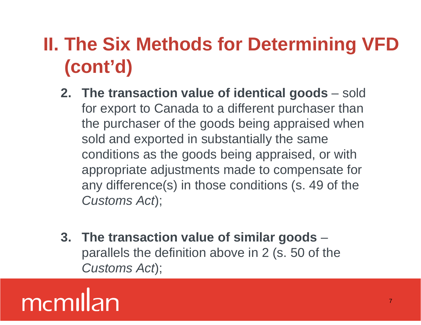- **2. The transaction value of identical goods** sold for export to Canada to a different purchaser than the purchaser of the goods being appraised when sold and exported in substantially the same conditions as the goods being appraised, or with appropriate adjustments made to compensate for any difference(s) in those conditions (s. 49 of the Customs Act);
- **3. The transaction value of similar goods** parallels the definition above in 2 (s. 50 of the Customs Act);

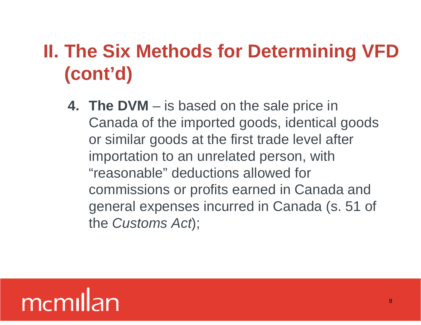**4. The DVM** – is based on the sale price in Canada of the imported goods, identical goods or similar goods at the first trade level after importation to an unrelated person, with "reasonable" deductions allowed for commissions or profits earned in Canada and general expenses incurred in Canada (s. 51 of the Customs Act);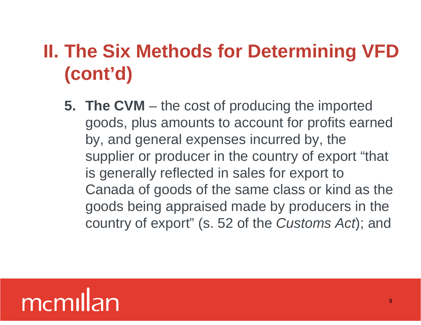**5. The CVM** – the cost of producing the imported goods, plus amounts to account for profits earned by, and general expenses incurred by, the supplier or producer in the country of export "that is generally reflected in sales for export to Canada of goods of the same class or kind as the goods being appraised made by producers in the country of export" (s. 52 of the Customs Act); and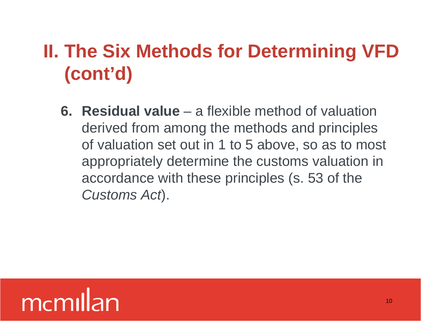**6. Residual value** – a flexible method of valuation derived from among the methods and principles of valuation set out in 1 to 5 above, so as to most appropriately determine the customs valuation in accordance with these principles (s. 53 of the Customs Act).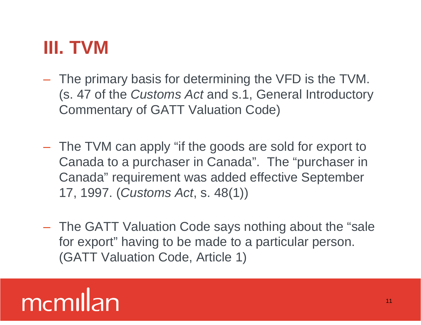#### **III. TVM**

- The primary basis for determining the VFD is the TVM. (s. 47 of the Customs Act and s.1, General Introductory Commentary of GATT Valuation Code)
- The TVM can apply "if the goods are sold for export to Canada to a purchaser in Canada". The "purchaser in Canada" requirement was added effective September 17, 1997. (Customs Act, s. 48(1))
- The GATT Valuation Code says nothing about the "sale for export" having to be made to a particular person. (GATT Valuation Code, Article 1)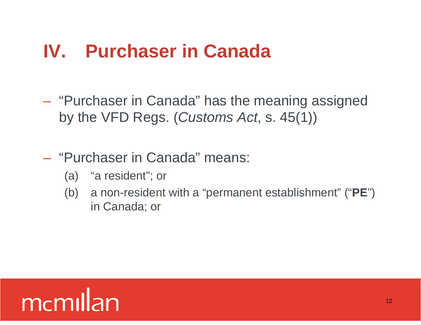#### **IV. Purchaser in Canada**

- "Purchaser in Canada" has the meaning assigned by the VFD Regs. (Customs Act, s. 45(1))
- "Purchaser in Canada" means:
	- (a) "a resident"; or
	- (b) a non-resident with a "permanent establishment" ("**PE**") in Canada; or

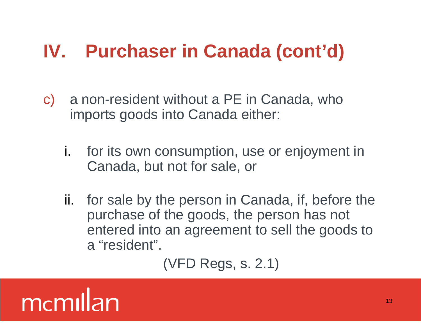#### **IV. Purchaser in Canada (cont'd)**

- c) a non-resident without a PE in Canada, who imports goods into Canada either:
	- i. for its own consumption, use or enjoyment in Canada, but not for sale, or
	- ii. for sale by the person in Canada, if, before the purchase of the goods, the person has not entered into an agreement to sell the goods to a "resident".<br>(VFD Regs, s. 2.1)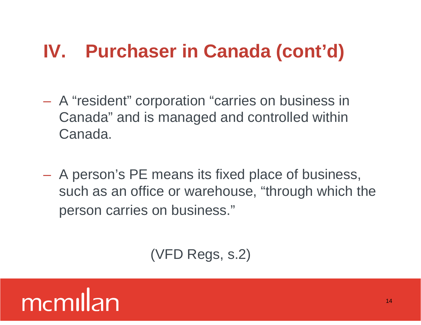#### **IV. Purchaser in Canada (cont'd)**

- A "resident" corporation "carries on business in Canada" and is managed and controlled within Canada.
- A person's PE means its fixed place of business, such as an office or warehouse, "through which the person carries on business."

(VFD Regs, s.2)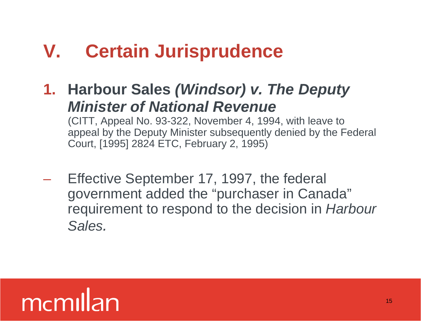#### **V. Certain Jurisprudence**

**1. Harbour Sales (Windsor) v. The Deputy Minister of National Revenue**

(CITT, Appeal No. 93-322, November 4, 1994, with leave to appeal by the Deputy Minister subsequently denied by the Federal Court, [1995] 2824 ETC, February 2, 1995)

– Effective September 17, 1997, the federal government added the "purchaser in Canada" requirement to respond to the decision in Harbour Sales.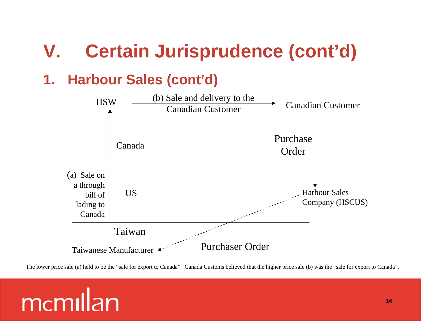#### **1. Harbour Sales (cont'd)**

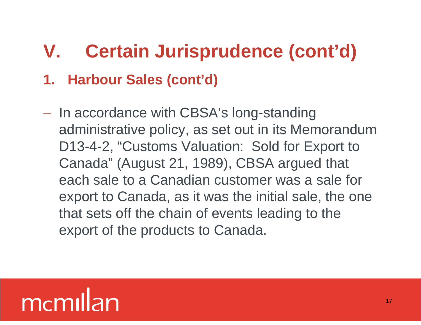– In accordance with CBSA's long-standing administrative policy, as set out in its Memorandum D13-4-2, "Customs Valuation: Sold for Export to Canada" (August 21, 1989), CBSA argued that each sale to a Canadian customer was a sale for export to Canada, as it was the initial sale, the one that sets off the chain of events leading to the 1. Harbour Sales (cont'd)<br>
- In accordance with CBSA's long-standing<br>
administrative policy, as set out in its Memorandum<br>
D13-4-2, "Customs Valuation: Sold for Export to<br>
Canada" (August 21, 1989), CBSA argued that<br>
each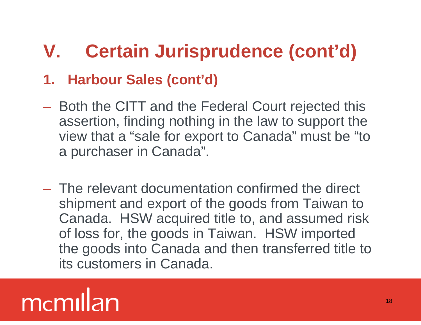- Both the CITT and the Federal Court rejected this assertion, finding nothing in the law to support the view that a "sale for export to Canada" must be "to a purchaser in Canada".
- The relevant documentation confirmed the direct shipment and export of the goods from Taiwan to Canada. HSW acquired title to, and assumed risk of loss for, the goods in Taiwan. HSW imported the goods into Canada and then transferred title to 1. Harbour Sales (cont'd)<br>
- Both the CITT and the Federal Court rejected this<br>
assertion, finding nothing in the law to support the<br>
view that a "sale for export to Canada" must be "to<br>
a purchaser in Canada".<br>
- The rele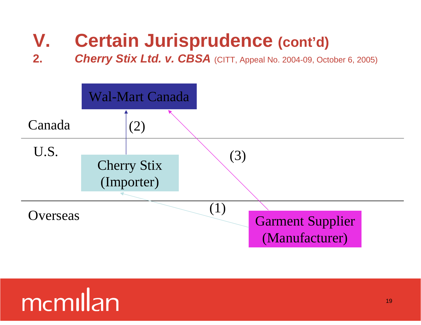**2. Cherry Stix Ltd. v. CBSA** (CITT, Appeal No. 2004-09, October 6, 2005)

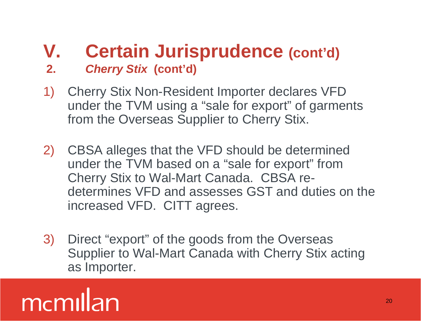#### **V. Certain Jurisprudence (cont'd) 2. Cherry Stix (cont'd)**

- 1) Cherry Stix Non-Resident Importer declares VFD under the TVM using a "sale for export" of garments from the Overseas Supplier to Cherry Stix.
- 2) CBSA alleges that the VFD should be determined under the TVM based on a "sale for export" from Cherry Stix to Wal-Mart Canada. CBSA re determines VFD and assesses GST and duties on the increased VFD. CITT agrees.
- 3) Direct "export" of the goods from the Overseas Supplier to Wal-Mart Canada with Cherry Stix acting as Importer.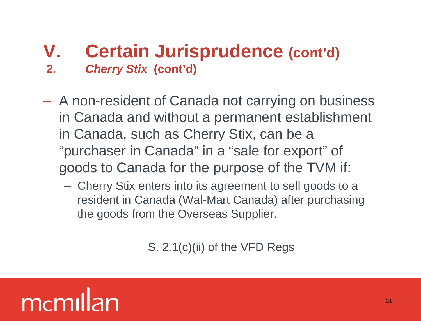#### **V. Certain Jurisprudence (cont'd) 2. Cherry Stix (cont'd)**

- A non-resident of Canada not carrying on business in Canada and without a permanent establishment in Canada, such as Cherry Stix, can be a "purchaser in Canada" in a "sale for export" of goods to Canada for the purpose of the TVM if:
	- Cherry Stix enters into its agreement to sell goods to a resident in Canada (Wal-Mart Canada) after purchasing the goods from the Overseas Supplier.

S. 2.1(c)(ii) of the VFD Regs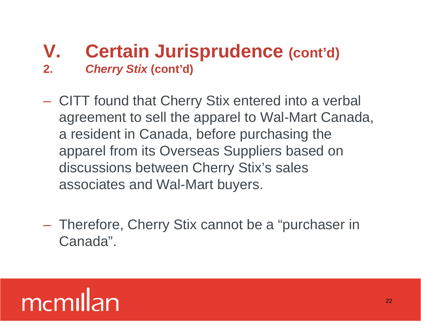#### **V. Certain Jurisprudence (cont'd) 2. Cherry Stix (cont'd)**

- CITT found that Cherry Stix entered into a verbal agreement to sell the apparel to Wal-Mart Canada, a resident in Canada, before purchasing the apparel from its Overseas Suppliers based on discussions between Cherry Stix's sales associates and Wal-Mart buyers.
- Therefore, Cherry Stix cannot be a "purchaser in Canada".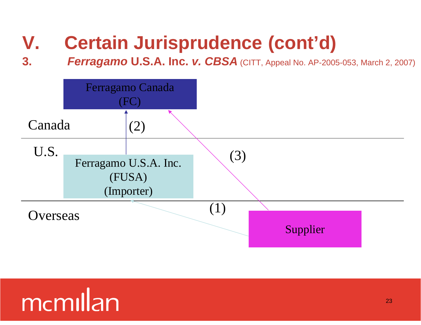#### **3. Ferragamo U.S.A. Inc. v. CBSA** (CITT, Appeal No. AP-2005-053, March 2, 2007)

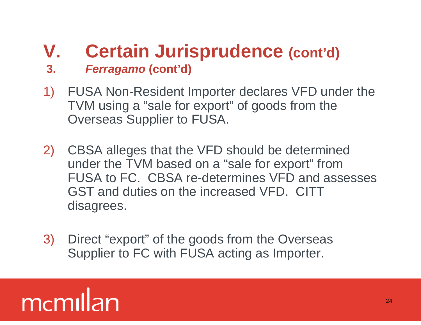- **3. Ferragamo (cont'd)**
- 1) FUSA Non-Resident Importer declares VFD under the TVM using a "sale for export" of goods from the Overseas Supplier to FUSA.
- 2) CBSA alleges that the VFD should be determined under the TVM based on a "sale for export" from FUSA to FC. CBSA re-determines VFD and assesses GST and duties on the increased VFD. CITT disagrees.
- 3) Direct "export" of the goods from the Overseas Supplier to FC with FUSA acting as Importer.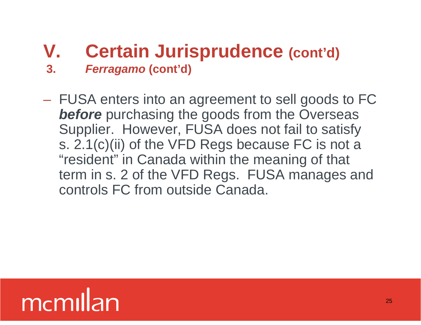- **3. Ferragamo (cont'd)**
- FUSA enters into an agreement to sell goods to FC **before** purchasing the goods from the Overseas Supplier. However, FUSA does not fail to satisfy s. 2.1(c)(ii) of the VFD Regs because FC is not a "resident" in Canada within the meaning of that term in s. 2 of the VFD Regs. FUSA manages and controls FC from outside Canada.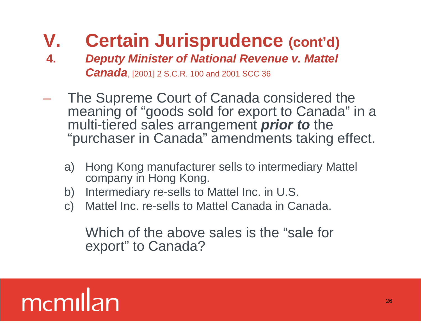- **4. Deputy Minister of National Revenue v. Mattel Canada**, [2001] 2 S.C.R. 100 and 2001 SCC 36
- The Supreme Court of Canada considered the meaning of "goods sold for export to Canada" in a multi-tiered sales arrangement *prior to* the "purchaser in Canada" amendments taking effect.
	- a) Hong Kong manufacturer sells to intermediary Mattel company in Hong Kong.
	- b) Intermediary re-sells to Mattel Inc. in U.S.
	- c) Mattel Inc. re-sells to Mattel Canada in Canada.

Which of the above sales is the "sale for export" to Canada?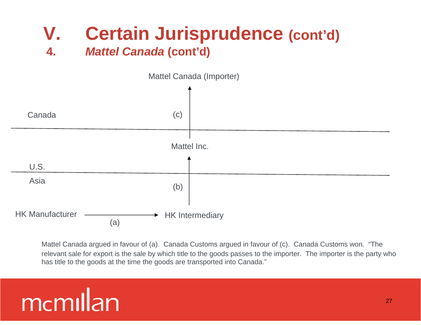#### **V. Certain Jurisprudence (cont'd) 4. Mattel Canada (cont'd)**



Mattel Canada argued in favour of (a). Canada Customs argued in favour of (c). Canada Customs won. "The relevant sale for export is the sale by which title to the goods passes to the importer. The importer is the party who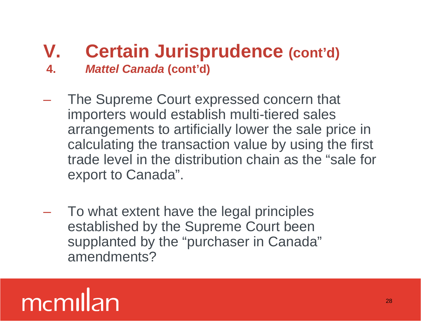#### **V. Certain Jurisprudence (cont'd) 4. Mattel Canada (cont'd)**

- The Supreme Court expressed concern that importers would establish multi-tiered sales arrangements to artificially lower the sale price in calculating the transaction value by using the first trade level in the distribution chain as the "sale for export to Canada".
- To what extent have the legal principles established by the Supreme Court been supplanted by the "purchaser in Canada" amendments?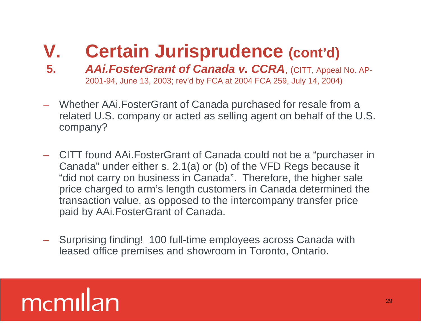- **5. AAi.FosterGrant of Canada v. CCRA**, (CITT, Appeal No. AP- 2001-94, June 13, 2003; rev'd by FCA at 2004 FCA 259, July 14, 2004)
- Whether AAi.FosterGrant of Canada purchased for resale from a related U.S. company or acted as selling agent on behalf of the U.S. company?
- CITT found AAi.FosterGrant of Canada could not be a "purchaser in Canada" under either s. 2.1(a) or (b) of the VFD Regs because it "did not carry on business in Canada". Therefore, the higher sale price charged to arm's length customers in Canada determined the transaction value, as opposed to the intercompany transfer price paid by AAi.FosterGrant of Canada.
- Surprising finding! 100 full-time employees across Canada with leased office premises and showroom in Toronto, Ontario.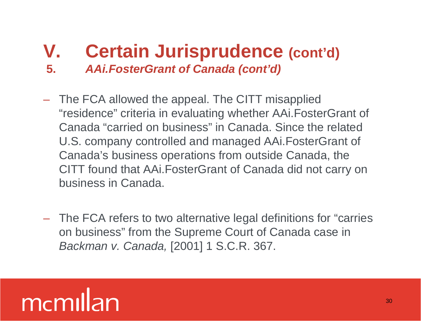- **5. AAi.FosterGrant of Canada (cont'd)**
- The FCA allowed the appeal. The CITT misapplied "residence" criteria in evaluating whether AAi.FosterGrant of Canada "carried on business" in Canada. Since the related U.S. company controlled and managed AAi.FosterGrant of Canada's business operations from outside Canada, the CITT found that AAi.FosterGrant of Canada did not carry on business in Canada.
- The FCA refers to two alternative legal definitions for "carries on business" from the Supreme Court of Canada case in Backman v. Canada, [2001] 1 S.C.R. 367.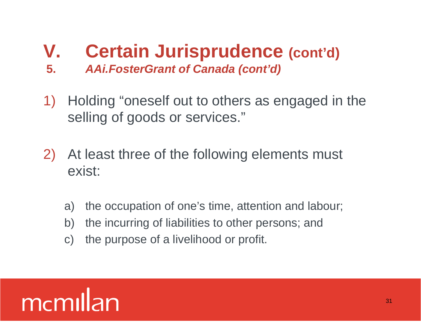- **5. AAi.FosterGrant of Canada (cont'd)**
- 1) Holding "oneself out to others as engaged in the selling of goods or services."
- 2) At least three of the following elements must exist:
	- a) the occupation of one's time, attention and labour;
	- b) the incurring of liabilities to other persons; and
	- c) the purpose of a livelihood or profit.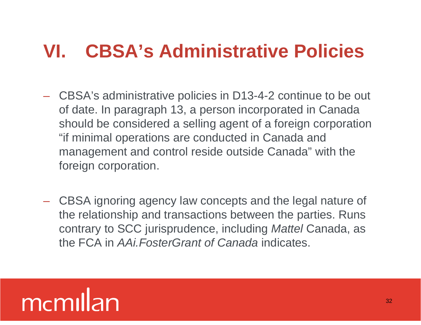#### **VI. CBSA's Administrative Policies**

- CBSA's administrative policies in D13-4-2 continue to be out of date. In paragraph 13, a person incorporated in Canada should be considered a selling agent of a foreign corporation "if minimal operations are conducted in Canada and management and control reside outside Canada" with the foreign corporation.
- CBSA ignoring agency law concepts and the legal nature of the relationship and transactions between the parties. Runs contrary to SCC jurisprudence, including Mattel Canada, as the FCA in AAi.FosterGrant of Canada indicates.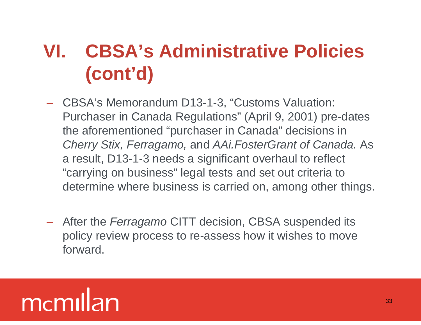#### **VI. CBSA's Administrative Policies (cont'd)**

- CBSA's Memorandum D13-1-3, "Customs Valuation: Purchaser in Canada Regulations" (April 9, 2001) pre-dates the aforementioned "purchaser in Canada" decisions in Cherry Stix, Ferragamo, and AAi.FosterGrant of Canada. As a result, D13-1-3 needs a significant overhaul to reflect "carrying on business" legal tests and set out criteria to determine where business is carried on, among other things.
- After the Ferragamo CITT decision, CBSA suspended its policy review process to re-assess how it wishes to move forward.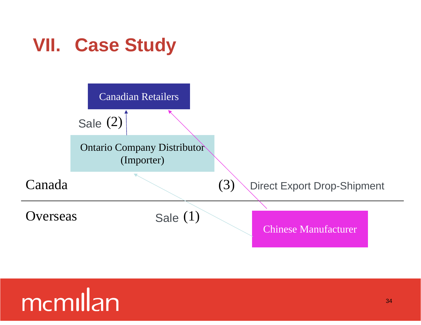#### **VII. Case Study**

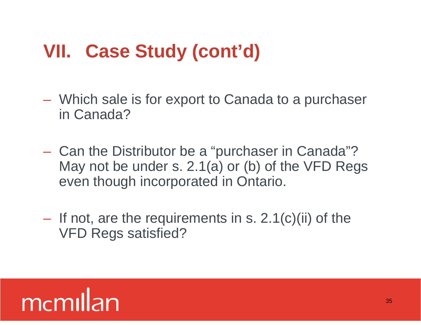- Which sale is for export to Canada to a purchaser in Canada?
- Can the Distributor be a "purchaser in Canada"? May not be under s. 2.1(a) or (b) of the VFD Regs even though incorporated in Ontario.
- $-$  If not, are the requirements in s. 2.1(c)(ii) of the VFD Regs satisfied?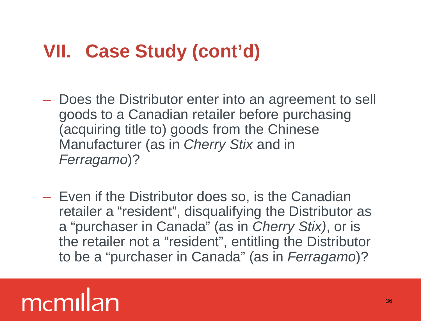- Does the Distributor enter into an agreement to sell goods to a Canadian retailer before purchasing (acquiring title to) goods from the Chinese Manufacturer (as in Cherry Stix and in Ferragamo)?
- Even if the Distributor does so, is the Canadian retailer a "resident" , disqualifying the Distributor as a "purchaser in Canada" (as in Cherry Stix), or is the retailer not a "resident" , entitling the Distributor to be a "purchaser in Canada" (as in Ferragamo)?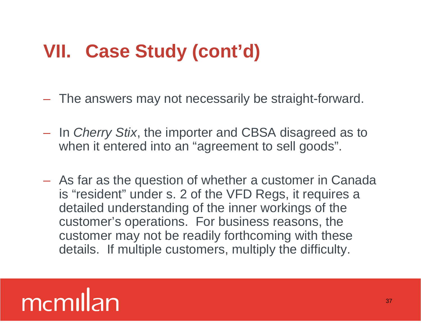- The answers may not necessarily be straight-forward.
- In Cherry Stix, the importer and CBSA disagreed as to when it entered into an "agreement to sell goods".
- As far as the question of whether a customer in Canada is "resident" under s. 2 of the VFD Regs, it requires a detailed understanding of the inner workings of the customer's operations. For business reasons, the customer may not be readily forthcoming with these details. If multiple customers, multiply the difficulty.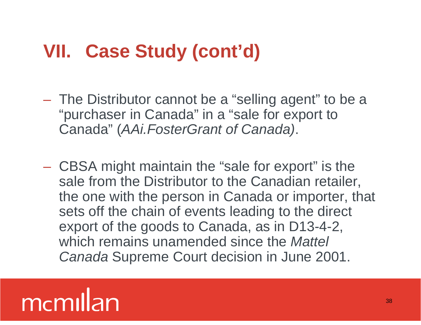- The Distributor cannot be a "selling agent" to be a "purchaser in Canada" in a "sale for export to Canada" (AAi.FosterGrant of Canada).
- CBSA might maintain the "sale for export" is the sale from the Distributor to the Canadian retailer, the one with the person in Canada or importer, that sets off the chain of events leading to the direct export of the goods to Canada, as in D13-4-2, which remains unamended since the *Mattel* Canada Supreme Court decision in June 2001.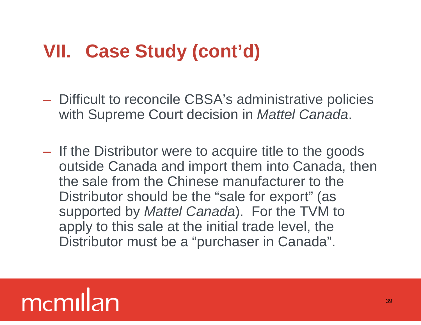- Difficult to reconcile CBSA's administrative policies with Supreme Court decision in Mattel Canada.
- If the Distributor were to acquire title to the goods outside Canada and import them into Canada, then the sale from the Chinese manufacturer to the Distributor should be the "sale for export" (as supported by Mattel Canada). For the TVM to apply to this sale at the initial trade level, the Distributor must be a "purchaser in Canada".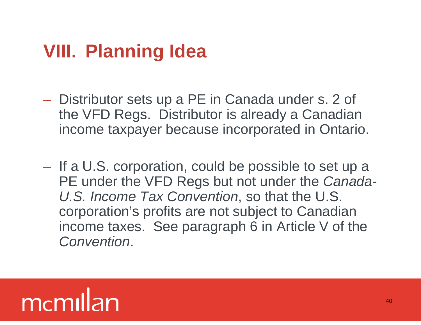#### **VIII. Planning Idea**

- Distributor sets up a PE in Canada under s. 2 of the VFD Regs. Distributor is already a Canadian income taxpayer because incorporated in Ontario.
- If a U.S. corporation, could be possible to set up a PE under the VFD Regs but not under the Canada-U.S. Income Tax Convention, so that the U.S. corporation's profits are not subject to Canadian income taxes. See paragraph 6 in Article V of the Convention.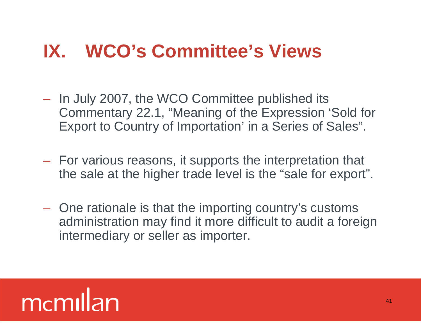#### **IX. WCO's Committee's Views**

- In July 2007, the WCO Committee published its Commentary 22.1, "Meaning of the Expression 'Sold for Export to Country of Importation' in a Series of Sales".
- For various reasons, it supports the interpretation that the sale at the higher trade level is the "sale for export".
- One rationale is that the importing country's customs administration may find it more difficult to audit a foreign intermediary or seller as importer.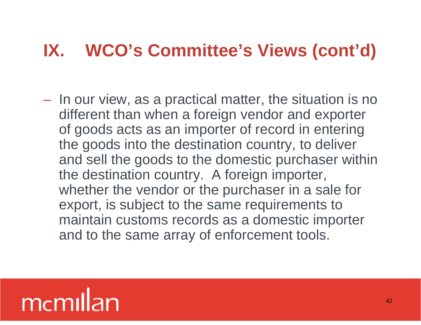– In our view, as a practical matter, the situation is no different than when a foreign vendor and exporter of goods acts as an importer of record in entering the goods into the destination country, to deliver and sell the goods to the domestic purchaser within the destination country. A foreign importer, whether the vendor or the purchaser in a sale for export, is subject to the same requirements to maintain customs records as a domestic importer and to the same array of enforcement tools.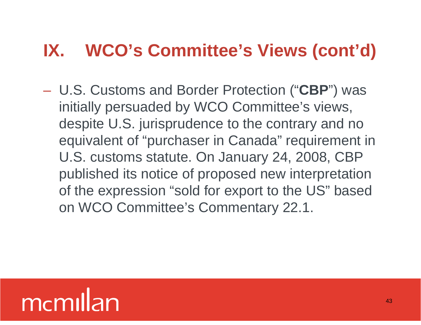– U.S. Customs and Border Protection ("**CBP**") was initially persuaded by WCO Committee's views, despite U.S. jurisprudence to the contrary and no equivalent of "purchaser in Canada" requirement in U.S. customs statute. On January 24, 2008, CBP published its notice of proposed new interpretation of the expression "sold for export to the US" based on WCO Committee's Commentary 22.1.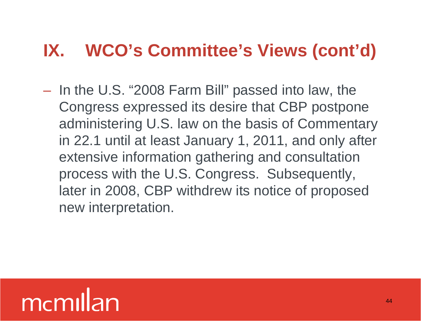– In the U.S. "2008 Farm Bill" passed into law, the Congress expressed its desire that CBP postpone administering U.S. law on the basis of Commentary in 22.1 until at least January 1, 2011, and only after extensive information gathering and consultation process with the U.S. Congress. Subsequently, later in 2008, CBP withdrew its notice of proposed new interpretation.